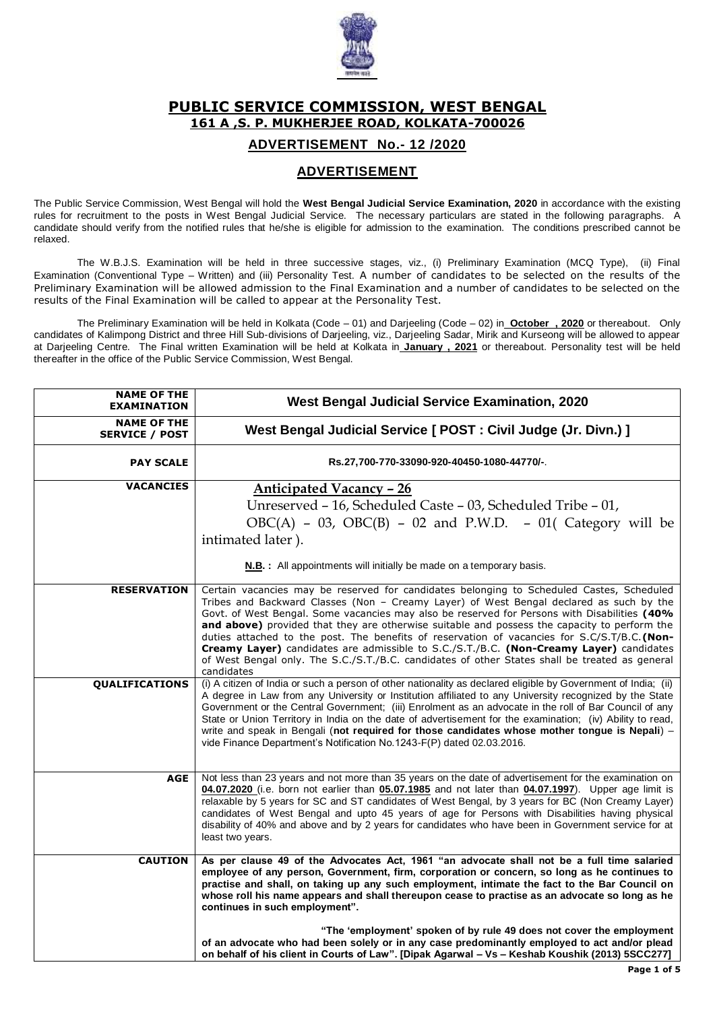

## **PUBLIC SERVICE COMMISSION, WEST BENGAL 161 A ,S. P. MUKHERJEE ROAD, KOLKATA-700026**

## **ADVERTISEMENT No.- 12 /2020**

## **ADVERTISEMENT**

The Public Service Commission, West Bengal will hold the **West Bengal Judicial Service Examination, 2020** in accordance with the existing rules for recruitment to the posts in West Bengal Judicial Service. The necessary particulars are stated in the following paragraphs. A candidate should verify from the notified rules that he/she is eligible for admission to the examination. The conditions prescribed cannot be relaxed.

The W.B.J.S. Examination will be held in three successive stages, viz., (i) Preliminary Examination (MCQ Type), (ii) Final Examination (Conventional Type – Written) and (iii) Personality Test. A number of candidates to be selected on the results of the Preliminary Examination will be allowed admission to the Final Examination and a number of candidates to be selected on the results of the Final Examination will be called to appear at the Personality Test.

The Preliminary Examination will be held in Kolkata (Code – 01) and Darjeeling (Code – 02) in **October , 2020** or thereabout. Only candidates of Kalimpong District and three Hill Sub-divisions of Darjeeling, viz., Darjeeling Sadar, Mirik and Kurseong will be allowed to appear at Darjeeling Centre. The Final written Examination will be held at Kolkata in **January , 2021** or thereabout. Personality test will be held thereafter in the office of the Public Service Commission, West Bengal.

| <b>NAME OF THE</b><br><b>EXAMINATION</b>    | West Bengal Judicial Service Examination, 2020                                                                                                                                                                                                                                                                                                                                                                                                                                                                                                                                                                                                                                                 |
|---------------------------------------------|------------------------------------------------------------------------------------------------------------------------------------------------------------------------------------------------------------------------------------------------------------------------------------------------------------------------------------------------------------------------------------------------------------------------------------------------------------------------------------------------------------------------------------------------------------------------------------------------------------------------------------------------------------------------------------------------|
| <b>NAME OF THE</b><br><b>SERVICE / POST</b> | West Bengal Judicial Service [ POST : Civil Judge (Jr. Divn.) ]                                                                                                                                                                                                                                                                                                                                                                                                                                                                                                                                                                                                                                |
| <b>PAY SCALE</b>                            | Rs.27,700-770-33090-920-40450-1080-44770/-.                                                                                                                                                                                                                                                                                                                                                                                                                                                                                                                                                                                                                                                    |
| <b>VACANCIES</b>                            | <b>Anticipated Vacancy - 26</b><br>Unreserved - 16, Scheduled Caste - 03, Scheduled Tribe - 01,<br>$OBC(A)$ - 03, $OBC(B)$ - 02 and P.W.D. - 01( Category will be<br>intimated later).<br><b>N.B.:</b> All appointments will initially be made on a temporary basis.                                                                                                                                                                                                                                                                                                                                                                                                                           |
| <b>RESERVATION</b>                          | Certain vacancies may be reserved for candidates belonging to Scheduled Castes, Scheduled<br>Tribes and Backward Classes (Non - Creamy Layer) of West Bengal declared as such by the<br>Govt. of West Bengal. Some vacancies may also be reserved for Persons with Disabilities (40%<br>and above) provided that they are otherwise suitable and possess the capacity to perform the<br>duties attached to the post. The benefits of reservation of vacancies for S.C/S.T/B.C.(Non-<br>Creamy Layer) candidates are admissible to S.C./S.T./B.C. (Non-Creamy Layer) candidates<br>of West Bengal only. The S.C./S.T./B.C. candidates of other States shall be treated as general<br>candidates |
| <b>QUALIFICATIONS</b>                       | (i) A citizen of India or such a person of other nationality as declared eligible by Government of India; (ii)<br>A degree in Law from any University or Institution affiliated to any University recognized by the State<br>Government or the Central Government; (iii) Enrolment as an advocate in the roll of Bar Council of any<br>State or Union Territory in India on the date of advertisement for the examination; (iv) Ability to read,<br>write and speak in Bengali (not required for those candidates whose mother tongue is Nepali) -<br>vide Finance Department's Notification No. 1243-F(P) dated 02.03.2016.                                                                   |
| <b>AGE</b>                                  | Not less than 23 years and not more than 35 years on the date of advertisement for the examination on<br>04.07.2020 (i.e. born not earlier than 05.07.1985 and not later than 04.07.1997). Upper age limit is<br>relaxable by 5 years for SC and ST candidates of West Bengal, by 3 years for BC (Non Creamy Layer)<br>candidates of West Bengal and upto 45 years of age for Persons with Disabilities having physical<br>disability of 40% and above and by 2 years for candidates who have been in Government service for at<br>least two years.                                                                                                                                            |
| <b>CAUTION</b>                              | As per clause 49 of the Advocates Act, 1961 "an advocate shall not be a full time salaried<br>employee of any person, Government, firm, corporation or concern, so long as he continues to<br>practise and shall, on taking up any such employment, intimate the fact to the Bar Council on<br>whose roll his name appears and shall thereupon cease to practise as an advocate so long as he<br>continues in such employment".<br>"The 'employment' spoken of by rule 49 does not cover the employment                                                                                                                                                                                        |
|                                             | of an advocate who had been solely or in any case predominantly employed to act and/or plead<br>on behalf of his client in Courts of Law". [Dipak Agarwal - Vs - Keshab Koushik (2013) 5SCC277]                                                                                                                                                                                                                                                                                                                                                                                                                                                                                                |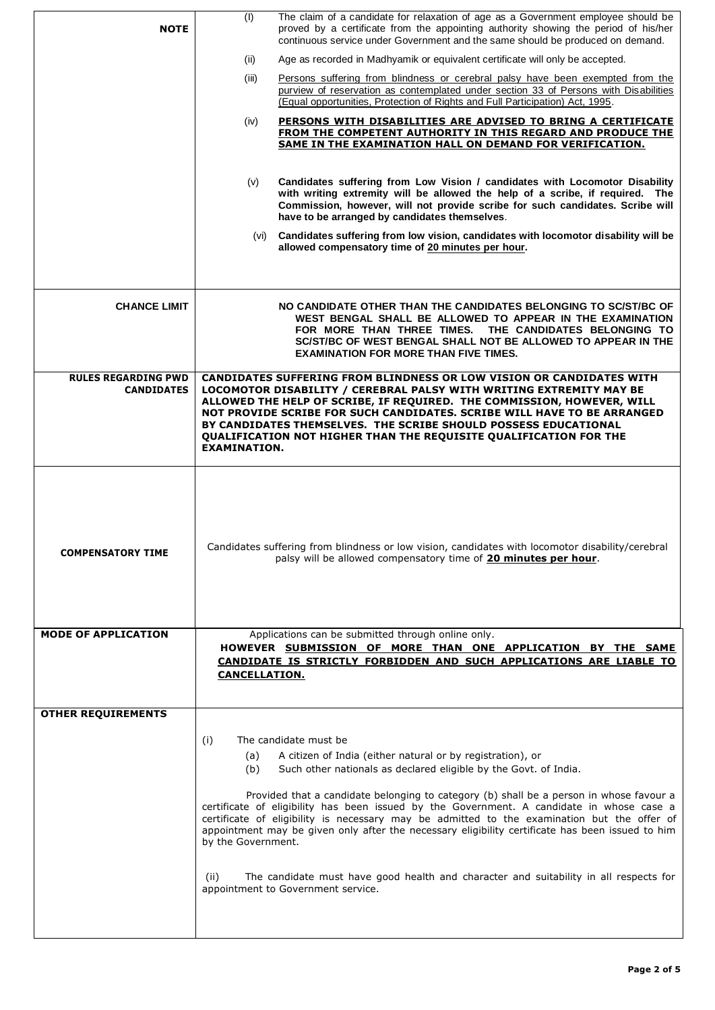| <b>NOTE</b>                                     | (1)                  | The claim of a candidate for relaxation of age as a Government employee should be<br>proved by a certificate from the appointing authority showing the period of his/her<br>continuous service under Government and the same should be produced on demand.                                                                                                                                                                               |
|-------------------------------------------------|----------------------|------------------------------------------------------------------------------------------------------------------------------------------------------------------------------------------------------------------------------------------------------------------------------------------------------------------------------------------------------------------------------------------------------------------------------------------|
|                                                 | (ii)                 | Age as recorded in Madhyamik or equivalent certificate will only be accepted.                                                                                                                                                                                                                                                                                                                                                            |
|                                                 | (iii)                | Persons suffering from blindness or cerebral palsy have been exempted from the<br>purview of reservation as contemplated under section 33 of Persons with Disabilities<br>(Equal opportunities, Protection of Rights and Full Participation) Act, 1995.                                                                                                                                                                                  |
|                                                 | (iv)                 | PERSONS WITH DISABILITIES ARE ADVISED TO BRING A CERTIFICATE<br><b>FROM THE COMPETENT AUTHORITY IN THIS REGARD AND PRODUCE THE</b><br>SAME IN THE EXAMINATION HALL ON DEMAND FOR VERIFICATION.                                                                                                                                                                                                                                           |
|                                                 | (v)                  | Candidates suffering from Low Vision / candidates with Locomotor Disability<br>with writing extremity will be allowed the help of a scribe, if required. The<br>Commission, however, will not provide scribe for such candidates. Scribe will<br>have to be arranged by candidates themselves.                                                                                                                                           |
|                                                 |                      | (vi) Candidates suffering from low vision, candidates with locomotor disability will be<br>allowed compensatory time of 20 minutes per hour.                                                                                                                                                                                                                                                                                             |
|                                                 |                      |                                                                                                                                                                                                                                                                                                                                                                                                                                          |
| <b>CHANCE LIMIT</b>                             |                      | NO CANDIDATE OTHER THAN THE CANDIDATES BELONGING TO SC/ST/BC OF<br>WEST BENGAL SHALL BE ALLOWED TO APPEAR IN THE EXAMINATION<br>FOR MORE THAN THREE TIMES.<br>THE CANDIDATES BELONGING TO<br>SC/ST/BC OF WEST BENGAL SHALL NOT BE ALLOWED TO APPEAR IN THE<br><b>EXAMINATION FOR MORE THAN FIVE TIMES.</b>                                                                                                                               |
| <b>RULES REGARDING PWD</b><br><b>CANDIDATES</b> | <b>EXAMINATION.</b>  | CANDIDATES SUFFERING FROM BLINDNESS OR LOW VISION OR CANDIDATES WITH<br>LOCOMOTOR DISABILITY / CEREBRAL PALSY WITH WRITING EXTREMITY MAY BE<br>ALLOWED THE HELP OF SCRIBE, IF REQUIRED. THE COMMISSION, HOWEVER, WILL<br>NOT PROVIDE SCRIBE FOR SUCH CANDIDATES. SCRIBE WILL HAVE TO BE ARRANGED<br>BY CANDIDATES THEMSELVES. THE SCRIBE SHOULD POSSESS EDUCATIONAL<br>QUALIFICATION NOT HIGHER THAN THE REQUISITE QUALIFICATION FOR THE |
| <b>COMPENSATORY TIME</b>                        |                      | Candidates suffering from blindness or low vision, candidates with locomotor disability/cerebral<br>palsy will be allowed compensatory time of 20 minutes per hour.                                                                                                                                                                                                                                                                      |
| <b>MODE OF APPLICATION</b>                      |                      | Applications can be submitted through online only.                                                                                                                                                                                                                                                                                                                                                                                       |
|                                                 | <b>CANCELLATION.</b> | HOWEVER SUBMISSION OF MORE THAN ONE APPLICATION BY THE SAME<br>CANDIDATE IS STRICTLY FORBIDDEN AND SUCH APPLICATIONS ARE LIABLE TO                                                                                                                                                                                                                                                                                                       |
| <b>OTHER REQUIREMENTS</b>                       |                      |                                                                                                                                                                                                                                                                                                                                                                                                                                          |
|                                                 | (i)<br>(a)<br>(b)    | The candidate must be<br>A citizen of India (either natural or by registration), or<br>Such other nationals as declared eligible by the Govt. of India.                                                                                                                                                                                                                                                                                  |
|                                                 | by the Government.   | Provided that a candidate belonging to category (b) shall be a person in whose favour a<br>certificate of eligibility has been issued by the Government. A candidate in whose case a<br>certificate of eligibility is necessary may be admitted to the examination but the offer of<br>appointment may be given only after the necessary eligibility certificate has been issued to him                                                  |
|                                                 | (ii)                 | The candidate must have good health and character and suitability in all respects for<br>appointment to Government service.                                                                                                                                                                                                                                                                                                              |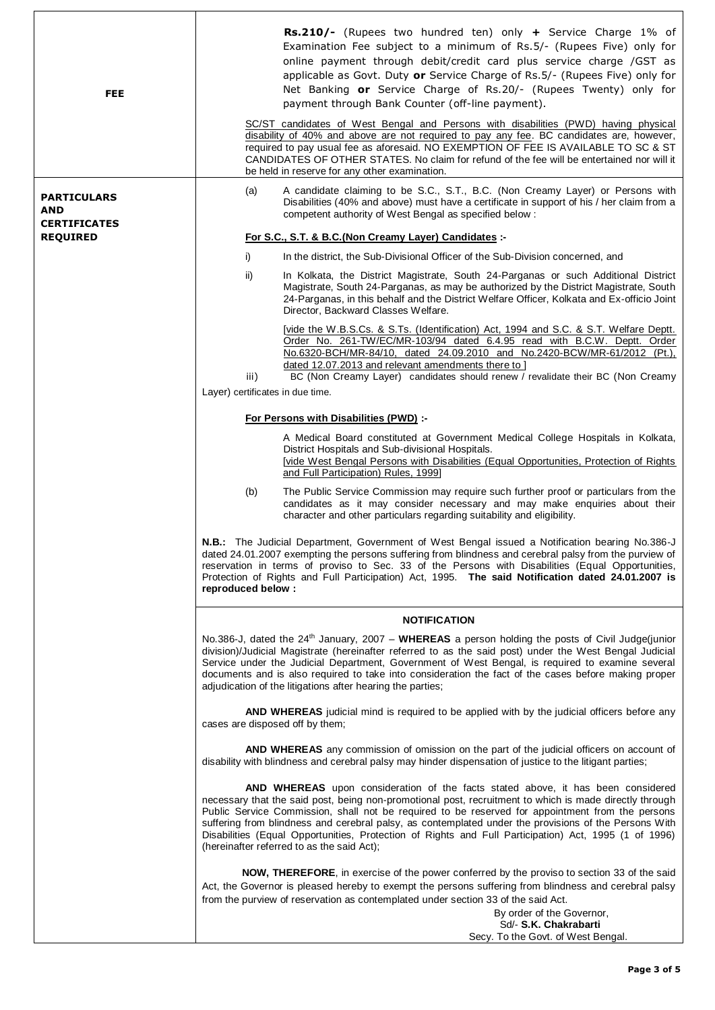| <b>FEE</b>                             | Rs.210/- (Rupees two hundred ten) only + Service Charge 1% of<br>Examination Fee subject to a minimum of Rs.5/- (Rupees Five) only for<br>online payment through debit/credit card plus service charge /GST as<br>applicable as Govt. Duty or Service Charge of Rs.5/- (Rupees Five) only for<br>Net Banking or Service Charge of Rs.20/- (Rupees Twenty) only for<br>payment through Bank Counter (off-line payment).<br>SC/ST candidates of West Bengal and Persons with disabilities (PWD) having physical<br>disability of 40% and above are not required to pay any fee. BC candidates are, however,<br>required to pay usual fee as aforesaid. NO EXEMPTION OF FEE IS AVAILABLE TO SC & ST<br>CANDIDATES OF OTHER STATES. No claim for refund of the fee will be entertained nor will it<br>be held in reserve for any other examination. |  |  |
|----------------------------------------|-------------------------------------------------------------------------------------------------------------------------------------------------------------------------------------------------------------------------------------------------------------------------------------------------------------------------------------------------------------------------------------------------------------------------------------------------------------------------------------------------------------------------------------------------------------------------------------------------------------------------------------------------------------------------------------------------------------------------------------------------------------------------------------------------------------------------------------------------|--|--|
| <b>PARTICULARS</b><br><b>AND</b>       | A candidate claiming to be S.C., S.T., B.C. (Non Creamy Layer) or Persons with<br>(a)<br>Disabilities (40% and above) must have a certificate in support of his / her claim from a<br>competent authority of West Bengal as specified below :                                                                                                                                                                                                                                                                                                                                                                                                                                                                                                                                                                                                   |  |  |
| <b>CERTIFICATES</b><br><b>REQUIRED</b> | For S.C., S.T. & B.C.(Non Creamy Layer) Candidates :-                                                                                                                                                                                                                                                                                                                                                                                                                                                                                                                                                                                                                                                                                                                                                                                           |  |  |
|                                        | i)<br>In the district, the Sub-Divisional Officer of the Sub-Division concerned, and                                                                                                                                                                                                                                                                                                                                                                                                                                                                                                                                                                                                                                                                                                                                                            |  |  |
|                                        | ii)<br>In Kolkata, the District Magistrate, South 24-Parganas or such Additional District<br>Magistrate, South 24-Parganas, as may be authorized by the District Magistrate, South<br>24-Parganas, in this behalf and the District Welfare Officer, Kolkata and Ex-officio Joint<br>Director, Backward Classes Welfare.                                                                                                                                                                                                                                                                                                                                                                                                                                                                                                                         |  |  |
|                                        | [vide the W.B.S.Cs. & S.Ts. (Identification) Act, 1994 and S.C. & S.T. Welfare Deptt.<br>Order No. 261-TW/EC/MR-103/94 dated 6.4.95 read with B.C.W. Deptt. Order<br>No.6320-BCH/MR-84/10, dated 24.09.2010 and No.2420-BCW/MR-61/2012 (Pt.),<br>dated 12.07.2013 and relevant amendments there to ]<br>BC (Non Creamy Layer) candidates should renew / revalidate their BC (Non Creamy<br>iii)                                                                                                                                                                                                                                                                                                                                                                                                                                                 |  |  |
|                                        | Layer) certificates in due time.                                                                                                                                                                                                                                                                                                                                                                                                                                                                                                                                                                                                                                                                                                                                                                                                                |  |  |
|                                        | For Persons with Disabilities (PWD) :-                                                                                                                                                                                                                                                                                                                                                                                                                                                                                                                                                                                                                                                                                                                                                                                                          |  |  |
|                                        | A Medical Board constituted at Government Medical College Hospitals in Kolkata,<br>District Hospitals and Sub-divisional Hospitals.<br>[vide West Bengal Persons with Disabilities (Equal Opportunities, Protection of Rights<br>and Full Participation) Rules, 1999]                                                                                                                                                                                                                                                                                                                                                                                                                                                                                                                                                                           |  |  |
|                                        | The Public Service Commission may require such further proof or particulars from the<br>(b)<br>candidates as it may consider necessary and may make enquiries about their<br>character and other particulars regarding suitability and eligibility.                                                                                                                                                                                                                                                                                                                                                                                                                                                                                                                                                                                             |  |  |
|                                        | N.B.: The Judicial Department, Government of West Bengal issued a Notification bearing No.386-J<br>dated 24.01.2007 exempting the persons suffering from blindness and cerebral palsy from the purview of<br>reservation in terms of proviso to Sec. 33 of the Persons with Disabilities (Equal Opportunities,<br>Protection of Rights and Full Participation) Act, 1995. The said Notification dated 24.01.2007 is<br>reproduced below:                                                                                                                                                                                                                                                                                                                                                                                                        |  |  |
|                                        | <b>NOTIFICATION</b>                                                                                                                                                                                                                                                                                                                                                                                                                                                                                                                                                                                                                                                                                                                                                                                                                             |  |  |
|                                        | No.386-J, dated the 24 <sup>th</sup> January, 2007 - WHEREAS a person holding the posts of Civil Judge(junior<br>division)/Judicial Magistrate (hereinafter referred to as the said post) under the West Bengal Judicial<br>Service under the Judicial Department, Government of West Bengal, is required to examine several<br>documents and is also required to take into consideration the fact of the cases before making proper<br>adjudication of the litigations after hearing the parties;                                                                                                                                                                                                                                                                                                                                              |  |  |
|                                        | AND WHEREAS judicial mind is required to be applied with by the judicial officers before any<br>cases are disposed off by them;                                                                                                                                                                                                                                                                                                                                                                                                                                                                                                                                                                                                                                                                                                                 |  |  |
|                                        | AND WHEREAS any commission of omission on the part of the judicial officers on account of<br>disability with blindness and cerebral palsy may hinder dispensation of justice to the litigant parties;                                                                                                                                                                                                                                                                                                                                                                                                                                                                                                                                                                                                                                           |  |  |
|                                        | AND WHEREAS upon consideration of the facts stated above, it has been considered<br>necessary that the said post, being non-promotional post, recruitment to which is made directly through<br>Public Service Commission, shall not be required to be reserved for appointment from the persons<br>suffering from blindness and cerebral palsy, as contemplated under the provisions of the Persons With<br>Disabilities (Equal Opportunities, Protection of Rights and Full Participation) Act, 1995 (1 of 1996)<br>(hereinafter referred to as the said Act);                                                                                                                                                                                                                                                                                 |  |  |
|                                        | NOW, THEREFORE, in exercise of the power conferred by the proviso to section 33 of the said<br>Act, the Governor is pleased hereby to exempt the persons suffering from blindness and cerebral palsy<br>from the purview of reservation as contemplated under section 33 of the said Act.<br>By order of the Governor,<br>Sd/- S.K. Chakrabarti                                                                                                                                                                                                                                                                                                                                                                                                                                                                                                 |  |  |
|                                        | Secy. To the Govt. of West Bengal.                                                                                                                                                                                                                                                                                                                                                                                                                                                                                                                                                                                                                                                                                                                                                                                                              |  |  |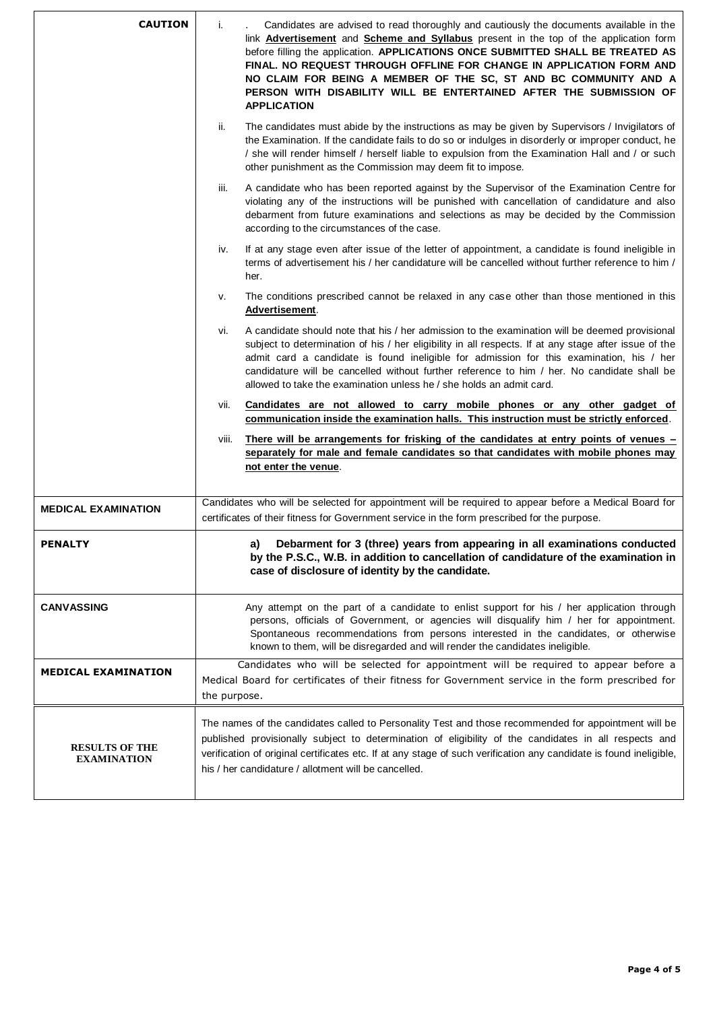| <b>CAUTION</b>                              | i.                                                                                                                                                                                                       | Candidates are advised to read thoroughly and cautiously the documents available in the<br>link <b>Advertisement</b> and <b>Scheme and Syllabus</b> present in the top of the application form<br>before filling the application. APPLICATIONS ONCE SUBMITTED SHALL BE TREATED AS<br>FINAL. NO REQUEST THROUGH OFFLINE FOR CHANGE IN APPLICATION FORM AND<br>NO CLAIM FOR BEING A MEMBER OF THE SC, ST AND BC COMMUNITY AND A<br>PERSON WITH DISABILITY WILL BE ENTERTAINED AFTER THE SUBMISSION OF<br><b>APPLICATION</b> |
|---------------------------------------------|----------------------------------------------------------------------------------------------------------------------------------------------------------------------------------------------------------|---------------------------------------------------------------------------------------------------------------------------------------------------------------------------------------------------------------------------------------------------------------------------------------------------------------------------------------------------------------------------------------------------------------------------------------------------------------------------------------------------------------------------|
|                                             | ii.                                                                                                                                                                                                      | The candidates must abide by the instructions as may be given by Supervisors / Invigilators of<br>the Examination. If the candidate fails to do so or indulges in disorderly or improper conduct, he<br>/ she will render himself / herself liable to expulsion from the Examination Hall and / or such<br>other punishment as the Commission may deem fit to impose.                                                                                                                                                     |
|                                             | iii.                                                                                                                                                                                                     | A candidate who has been reported against by the Supervisor of the Examination Centre for<br>violating any of the instructions will be punished with cancellation of candidature and also<br>debarment from future examinations and selections as may be decided by the Commission<br>according to the circumstances of the case.                                                                                                                                                                                         |
|                                             | iv.                                                                                                                                                                                                      | If at any stage even after issue of the letter of appointment, a candidate is found ineligible in<br>terms of advertisement his / her candidature will be cancelled without further reference to him /<br>her.                                                                                                                                                                                                                                                                                                            |
|                                             | v.                                                                                                                                                                                                       | The conditions prescribed cannot be relaxed in any case other than those mentioned in this<br>Advertisement.                                                                                                                                                                                                                                                                                                                                                                                                              |
|                                             | Vİ.                                                                                                                                                                                                      | A candidate should note that his / her admission to the examination will be deemed provisional<br>subject to determination of his / her eligibility in all respects. If at any stage after issue of the<br>admit card a candidate is found ineligible for admission for this examination, his / her<br>candidature will be cancelled without further reference to him / her. No candidate shall be<br>allowed to take the examination unless he / she holds an admit card.                                                |
|                                             | vii.                                                                                                                                                                                                     | Candidates are not allowed to carry mobile phones or any other gadget of<br>communication inside the examination halls. This instruction must be strictly enforced.                                                                                                                                                                                                                                                                                                                                                       |
|                                             | viii.                                                                                                                                                                                                    | <u>There will be arrangements for frisking of the candidates at entry points of venues –</u><br>separately for male and female candidates so that candidates with mobile phones may<br>not enter the venue.                                                                                                                                                                                                                                                                                                               |
| <b>MEDICAL EXAMINATION</b>                  |                                                                                                                                                                                                          | Candidates who will be selected for appointment will be required to appear before a Medical Board for<br>certificates of their fitness for Government service in the form prescribed for the purpose.                                                                                                                                                                                                                                                                                                                     |
| <b>PENALTY</b>                              |                                                                                                                                                                                                          | Debarment for 3 (three) years from appearing in all examinations conducted<br>a)<br>by the P.S.C., W.B. in addition to cancellation of candidature of the examination in<br>case of disclosure of identity by the candidate.                                                                                                                                                                                                                                                                                              |
| <b>CANVASSING</b>                           |                                                                                                                                                                                                          | Any attempt on the part of a candidate to enlist support for his / her application through<br>persons, officials of Government, or agencies will disqualify him / her for appointment.<br>Spontaneous recommendations from persons interested in the candidates, or otherwise<br>known to them, will be disregarded and will render the candidates ineligible.                                                                                                                                                            |
| <b>MEDICAL EXAMINATION</b>                  | Candidates who will be selected for appointment will be required to appear before a<br>Medical Board for certificates of their fitness for Government service in the form prescribed for<br>the purpose. |                                                                                                                                                                                                                                                                                                                                                                                                                                                                                                                           |
| <b>RESULTS OF THE</b><br><b>EXAMINATION</b> |                                                                                                                                                                                                          | The names of the candidates called to Personality Test and those recommended for appointment will be<br>published provisionally subject to determination of eligibility of the candidates in all respects and<br>verification of original certificates etc. If at any stage of such verification any candidate is found ineligible,<br>his / her candidature / allotment will be cancelled.                                                                                                                               |